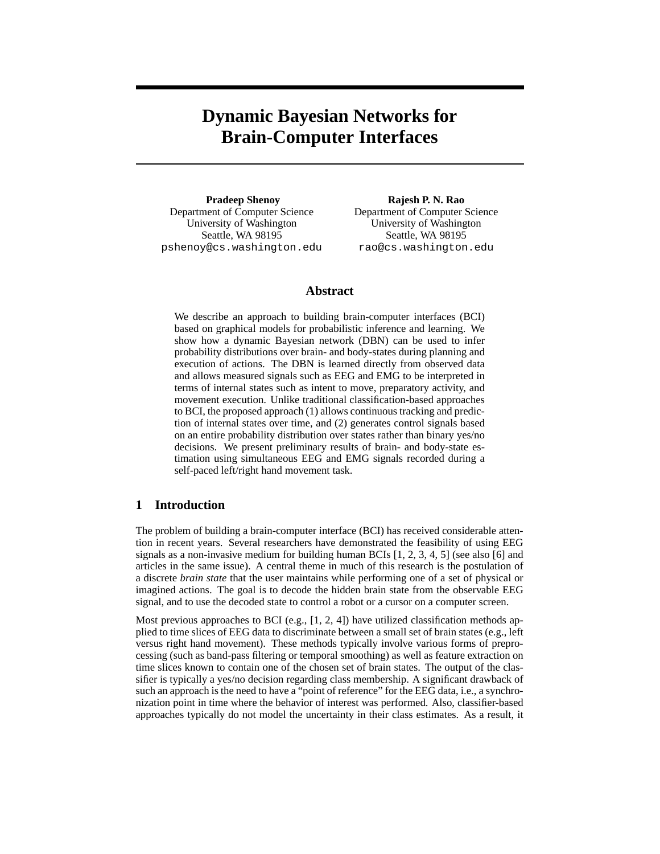# **Dynamic Bayesian Networks for Brain-Computer Interfaces**

**Pradeep Shenoy** Department of Computer Science University of Washington Seattle, WA 98195 pshenoy@cs.washington.edu

**Rajesh P. N. Rao** Department of Computer Science University of Washington Seattle, WA 98195 rao@cs.washington.edu

## **Abstract**

We describe an approach to building brain-computer interfaces (BCI) based on graphical models for probabilistic inference and learning. We show how a dynamic Bayesian network (DBN) can be used to infer probability distributions over brain- and body-states during planning and execution of actions. The DBN is learned directly from observed data and allows measured signals such as EEG and EMG to be interpreted in terms of internal states such as intent to move, preparatory activity, and movement execution. Unlike traditional classification-based approaches to BCI, the proposed approach (1) allows continuous tracking and prediction of internal states over time, and (2) generates control signals based on an entire probability distribution over states rather than binary yes/no decisions. We present preliminary results of brain- and body-state estimation using simultaneous EEG and EMG signals recorded during a self-paced left/right hand movement task.

# **1 Introduction**

The problem of building a brain-computer interface (BCI) has received considerable attention in recent years. Several researchers have demonstrated the feasibility of using EEG signals as a non-invasive medium for building human BCIs  $[1, 2, 3, 4, 5]$  (see also [6] and articles in the same issue). A central theme in much of this research is the postulation of a discrete *brain state* that the user maintains while performing one of a set of physical or imagined actions. The goal is to decode the hidden brain state from the observable EEG signal, and to use the decoded state to control a robot or a cursor on a computer screen.

Most previous approaches to BCI (e.g.,  $[1, 2, 4]$ ) have utilized classification methods applied to time slices of EEG data to discriminate between a small set of brain states (e.g., left versus right hand movement). These methods typically involve various forms of preprocessing (such as band-pass filtering or temporal smoothing) as well as feature extraction on time slices known to contain one of the chosen set of brain states. The output of the classifier is typically a yes/no decision regarding class membership. A significant drawback of such an approach is the need to have a "point of reference" for the EEG data, i.e., a synchronization point in time where the behavior of interest was performed. Also, classifier-based approaches typically do not model the uncertainty in their class estimates. As a result, it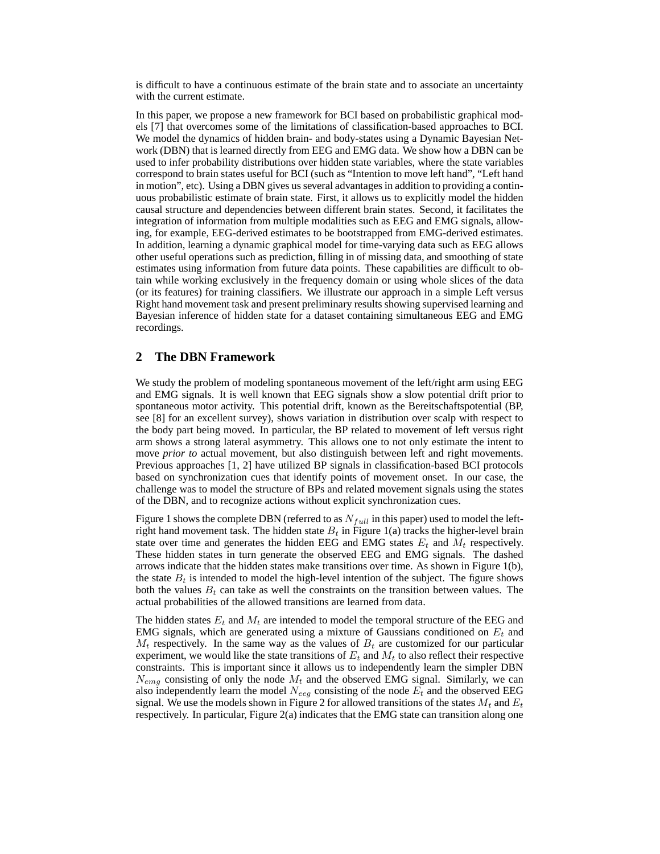is difficult to have a continuous estimate of the brain state and to associate an uncertainty with the current estimate.

In this paper, we propose a new framework for BCI based on probabilistic graphical models [7] that overcomes some of the limitations of classification-based approaches to BCI. We model the dynamics of hidden brain- and body-states using a Dynamic Bayesian Network (DBN) that is learned directly from EEG and EMG data. We show how a DBN can be used to infer probability distributions over hidden state variables, where the state variables correspond to brain states useful for BCI (such as "Intention to move left hand", "Left hand in motion", etc). Using a DBN gives us several advantages in addition to providing a continuous probabilistic estimate of brain state. First, it allows us to explicitly model the hidden causal structure and dependencies between different brain states. Second, it facilitates the integration of information from multiple modalities such as EEG and EMG signals, allowing, for example, EEG-derived estimates to be bootstrapped from EMG-derived estimates. In addition, learning a dynamic graphical model for time-varying data such as EEG allows other useful operations such as prediction, filling in of missing data, and smoothing of state estimates using information from future data points. These capabilities are difficult to obtain while working exclusively in the frequency domain or using whole slices of the data (or its features) for training classifiers. We illustrate our approach in a simple Left versus Right hand movement task and present preliminary results showing supervised learning and Bayesian inference of hidden state for a dataset containing simultaneous EEG and EMG recordings.

## **2 The DBN Framework**

We study the problem of modeling spontaneous movement of the left/right arm using EEG and EMG signals. It is well known that EEG signals show a slow potential drift prior to spontaneous motor activity. This potential drift, known as the Bereitschaftspotential (BP, see [8] for an excellent survey), shows variation in distribution over scalp with respect to the body part being moved. In particular, the BP related to movement of left versus right arm shows a strong lateral asymmetry. This allows one to not only estimate the intent to move *prior to* actual movement, but also distinguish between left and right movements. Previous approaches [1, 2] have utilized BP signals in classification-based BCI protocols based on synchronization cues that identify points of movement onset. In our case, the challenge was to model the structure of BPs and related movement signals using the states of the DBN, and to recognize actions without explicit synchronization cues.

Figure 1 shows the complete DBN (referred to as  $N_{full}$  in this paper) used to model the leftright hand movement task. The hidden state  $B_t$  in Figure 1(a) tracks the higher-level brain state over time and generates the hidden EEG and EMG states  $E_t$  and  $M_t$  respectively. These hidden states in turn generate the observed EEG and EMG signals. The dashed arrows indicate that the hidden states make transitions over time. As shown in Figure 1(b), the state  $B_t$  is intended to model the high-level intention of the subject. The figure shows both the values  $B_t$  can take as well the constraints on the transition between values. The actual probabilities of the allowed transitions are learned from data.

The hidden states  $E_t$  and  $M_t$  are intended to model the temporal structure of the EEG and EMG signals, which are generated using a mixture of Gaussians conditioned on  $E_t$  and  $M_t$  respectively. In the same way as the values of  $B_t$  are customized for our particular experiment, we would like the state transitions of  $E_t$  and  $M_t$  to also reflect their respective constraints. This is important since it allows us to independently learn the simpler DBN  $N_{ema}$  consisting of only the node  $M_t$  and the observed EMG signal. Similarly, we can also independently learn the model  $N_{eeg}$  consisting of the node  $E_t$  and the observed EEG signal. We use the models shown in Figure 2 for allowed transitions of the states  $M_t$  and  $E_t$ respectively. In particular, Figure 2(a) indicates that the EMG state can transition along one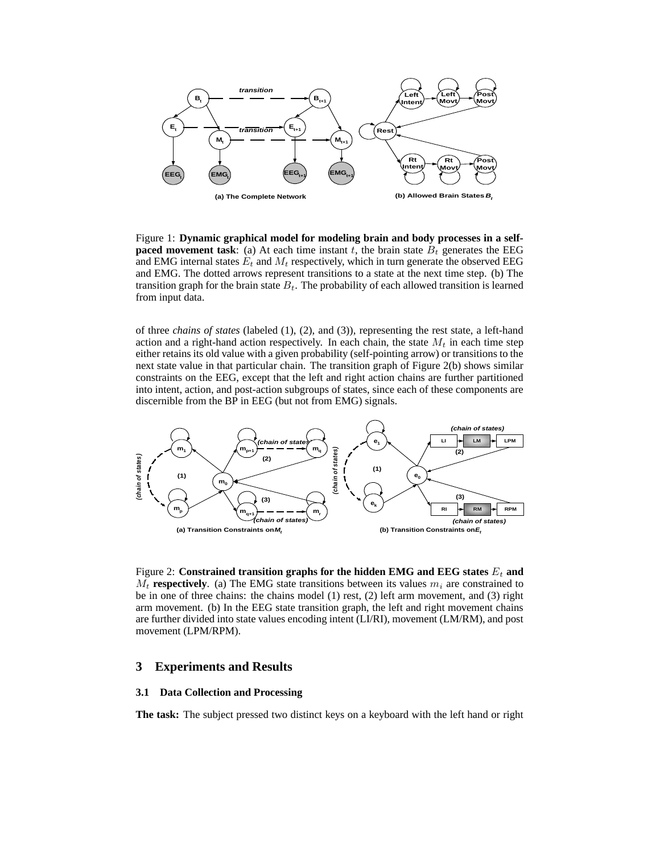

Figure 1: **Dynamic graphical model for modeling brain and body processes in a selfpaced movement task**: (a) At each time instant t, the brain state  $B_t$  generates the EEG and EMG internal states  $E_t$  and  $M_t$  respectively, which in turn generate the observed EEG and EMG. The dotted arrows represent transitions to a state at the next time step. (b) The transition graph for the brain state  $B_t$ . The probability of each allowed transition is learned from input data.

of three *chains of states* (labeled (1), (2), and (3)), representing the rest state, a left-hand action and a right-hand action respectively. In each chain, the state  $M_t$  in each time step either retains its old value with a given probability (self-pointing arrow) or transitions to the next state value in that particular chain. The transition graph of Figure 2(b) shows similar constraints on the EEG, except that the left and right action chains are further partitioned into intent, action, and post-action subgroups of states, since each of these components are discernible from the BP in EEG (but not from EMG) signals.



Figure 2: **Constrained transition graphs for the hidden EMG and EEG states**  $E_t$  **and**  $M_t$  **respectively**. (a) The EMG state transitions between its values  $m_i$  are constrained to be in one of three chains: the chains model (1) rest, (2) left arm movement, and (3) right arm movement. (b) In the EEG state transition graph, the left and right movement chains are further divided into state values encoding intent (LI/RI), movement (LM/RM), and post movement (LPM/RPM).

#### **3 Experiments and Results**

#### **3.1 Data Collection and Processing**

**The task:** The subject pressed two distinct keys on a keyboard with the left hand or right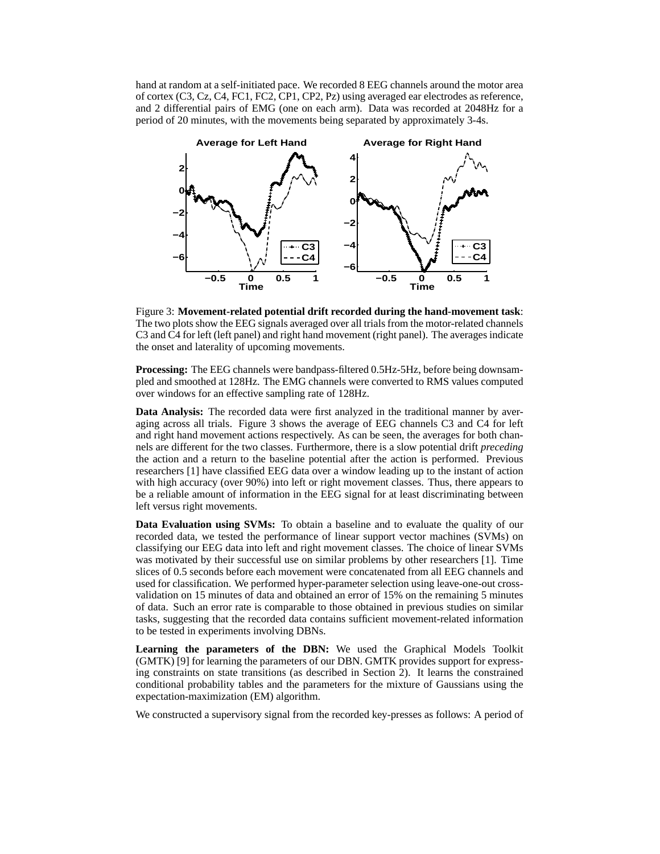hand at random at a self-initiated pace. We recorded 8 EEG channels around the motor area of cortex (C3, Cz, C4, FC1, FC2, CP1, CP2, Pz) using averaged ear electrodes as reference, and 2 differential pairs of EMG (one on each arm). Data was recorded at 2048Hz for a period of 20 minutes, with the movements being separated by approximately 3-4s.



Figure 3: **Movement-related potential drift recorded during the hand-movement task**: The two plots show the EEG signals averaged over all trials from the motor-related channels C3 and C4 for left (left panel) and right hand movement (right panel). The averages indicate the onset and laterality of upcoming movements.

**Processing:** The EEG channels were bandpass-filtered 0.5Hz-5Hz, before being downsampled and smoothed at 128Hz. The EMG channels were converted to RMS values computed over windows for an effective sampling rate of 128Hz.

**Data Analysis:** The recorded data were first analyzed in the traditional manner by averaging across all trials. Figure 3 shows the average of EEG channels C3 and C4 for left and right hand movement actions respectively. As can be seen, the averages for both channels are different for the two classes. Furthermore, there is a slow potential drift *preceding* the action and a return to the baseline potential after the action is performed. Previous researchers [1] have classified EEG data over a window leading up to the instant of action with high accuracy (over 90%) into left or right movement classes. Thus, there appears to be a reliable amount of information in the EEG signal for at least discriminating between left versus right movements.

**Data Evaluation using SVMs:** To obtain a baseline and to evaluate the quality of our recorded data, we tested the performance of linear support vector machines (SVMs) on classifying our EEG data into left and right movement classes. The choice of linear SVMs was motivated by their successful use on similar problems by other researchers [1]. Time slices of 0.5 seconds before each movement were concatenated from all EEG channels and used for classification. We performed hyper-parameter selection using leave-one-out crossvalidation on 15 minutes of data and obtained an error of 15% on the remaining 5 minutes of data. Such an error rate is comparable to those obtained in previous studies on similar tasks, suggesting that the recorded data contains sufficient movement-related information to be tested in experiments involving DBNs.

**Learning the parameters of the DBN:** We used the Graphical Models Toolkit (GMTK) [9] for learning the parameters of our DBN. GMTK provides support for expressing constraints on state transitions (as described in Section 2). It learns the constrained conditional probability tables and the parameters for the mixture of Gaussians using the expectation-maximization (EM) algorithm.

We constructed a supervisory signal from the recorded key-presses as follows: A period of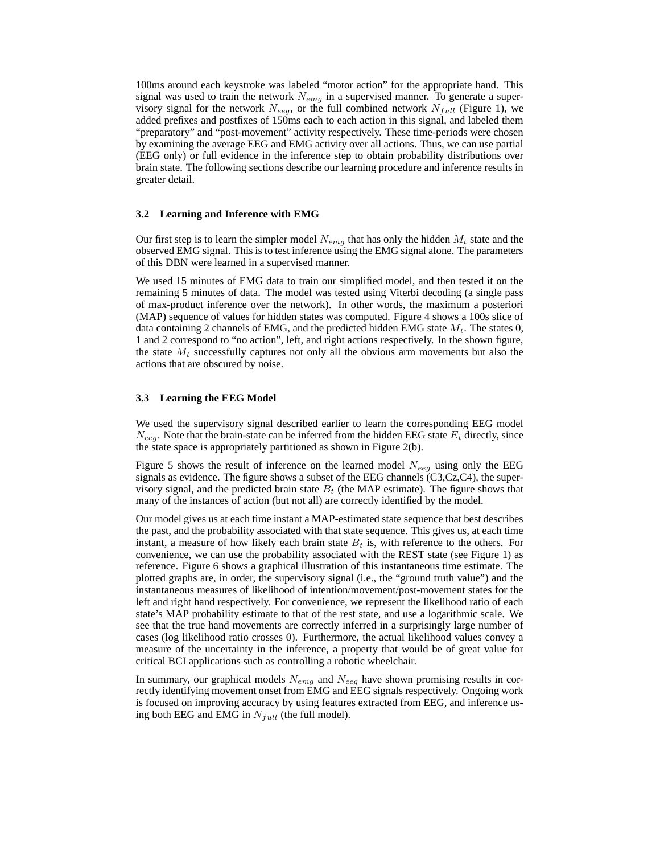100ms around each keystroke was labeled "motor action" for the appropriate hand. This signal was used to train the network  $N_{emg}$  in a supervised manner. To generate a supervisory signal for the network  $N_{eeg}$ , or the full combined network  $N_{full}$  (Figure 1), we added prefixes and postfixes of 150ms each to each action in this signal, and labeled them "preparatory" and "post-movement" activity respectively. These time-periods were chosen by examining the average EEG and EMG activity over all actions. Thus, we can use partial (EEG only) or full evidence in the inference step to obtain probability distributions over brain state. The following sections describe our learning procedure and inference results in greater detail.

#### **3.2 Learning and Inference with EMG**

Our first step is to learn the simpler model  $N_{emg}$  that has only the hidden  $M_t$  state and the observed EMG signal. This is to test inference using the EMG signal alone. The parameters of this DBN were learned in a supervised manner.

We used 15 minutes of EMG data to train our simplified model, and then tested it on the remaining 5 minutes of data. The model was tested using Viterbi decoding (a single pass of max-product inference over the network). In other words, the maximum a posteriori (MAP) sequence of values for hidden states was computed. Figure 4 shows a 100s slice of data containing 2 channels of EMG, and the predicted hidden EMG state  $M_t$ . The states 0, 1 and 2 correspond to "no action", left, and right actions respectively. In the shown figure, the state  $M_t$  successfully captures not only all the obvious arm movements but also the actions that are obscured by noise.

#### **3.3 Learning the EEG Model**

We used the supervisory signal described earlier to learn the corresponding EEG model  $N_{eeq}$ . Note that the brain-state can be inferred from the hidden EEG state  $E_t$  directly, since the state space is appropriately partitioned as shown in Figure 2(b).

Figure 5 shows the result of inference on the learned model  $N_{eeq}$  using only the EEG signals as evidence. The figure shows a subset of the EEG channels  $(C3, Cz, C4)$ , the supervisory signal, and the predicted brain state  $B_t$  (the MAP estimate). The figure shows that many of the instances of action (but not all) are correctly identified by the model.

Our model gives us at each time instant a MAP-estimated state sequence that best describes the past, and the probability associated with that state sequence. This gives us, at each time instant, a measure of how likely each brain state  $B_t$  is, with reference to the others. For convenience, we can use the probability associated with the REST state (see Figure 1) as reference. Figure 6 shows a graphical illustration of this instantaneous time estimate. The plotted graphs are, in order, the supervisory signal (i.e., the "ground truth value") and the instantaneous measures of likelihood of intention/movement/post-movement states for the left and right hand respectively. For convenience, we represent the likelihood ratio of each state's MAP probability estimate to that of the rest state, and use a logarithmic scale. We see that the true hand movements are correctly inferred in a surprisingly large number of cases (log likelihood ratio crosses 0). Furthermore, the actual likelihood values convey a measure of the uncertainty in the inference, a property that would be of great value for critical BCI applications such as controlling a robotic wheelchair.

In summary, our graphical models  $N_{emg}$  and  $N_{eeg}$  have shown promising results in correctly identifying movement onset from EMG and EEG signals respectively. Ongoing work is focused on improving accuracy by using features extracted from EEG, and inference using both EEG and EMG in  $N_{full}$  (the full model).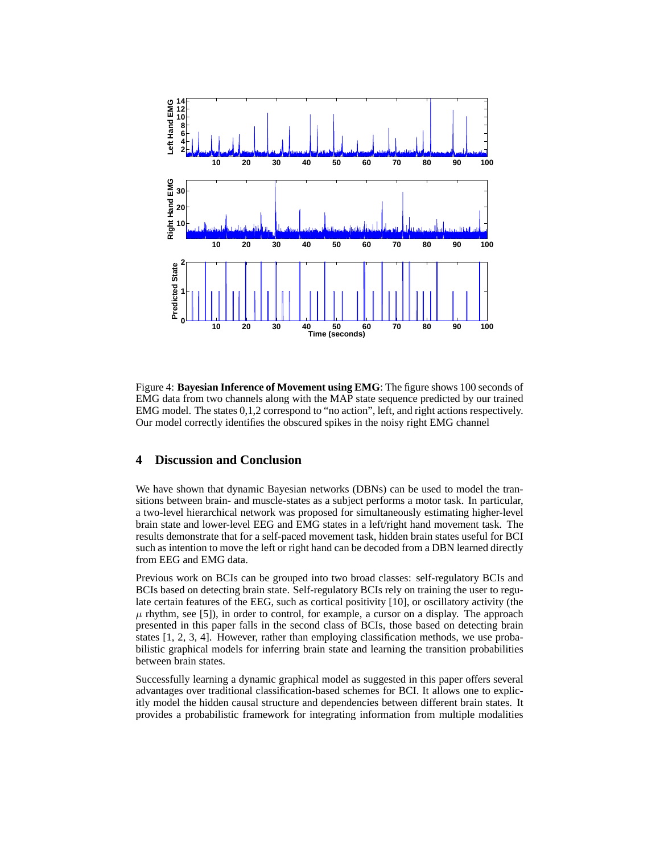

Figure 4: **Bayesian Inference of Movement using EMG**: The figure shows 100 seconds of EMG data from two channels along with the MAP state sequence predicted by our trained EMG model. The states 0,1,2 correspond to "no action", left, and right actions respectively. Our model correctly identifies the obscured spikes in the noisy right EMG channel

## **4 Discussion and Conclusion**

We have shown that dynamic Bayesian networks (DBNs) can be used to model the transitions between brain- and muscle-states as a subject performs a motor task. In particular, a two-level hierarchical network was proposed for simultaneously estimating higher-level brain state and lower-level EEG and EMG states in a left/right hand movement task. The results demonstrate that for a self-paced movement task, hidden brain states useful for BCI such as intention to move the left or right hand can be decoded from a DBN learned directly from EEG and EMG data.

Previous work on BCIs can be grouped into two broad classes: self-regulatory BCIs and BCIs based on detecting brain state. Self-regulatory BCIs rely on training the user to regulate certain features of the EEG, such as cortical positivity [10], or oscillatory activity (the  $\mu$  rhythm, see [5]), in order to control, for example, a cursor on a display. The approach presented in this paper falls in the second class of BCIs, those based on detecting brain states [1, 2, 3, 4]. However, rather than employing classification methods, we use probabilistic graphical models for inferring brain state and learning the transition probabilities between brain states.

Successfully learning a dynamic graphical model as suggested in this paper offers several advantages over traditional classification-based schemes for BCI. It allows one to explicitly model the hidden causal structure and dependencies between different brain states. It provides a probabilistic framework for integrating information from multiple modalities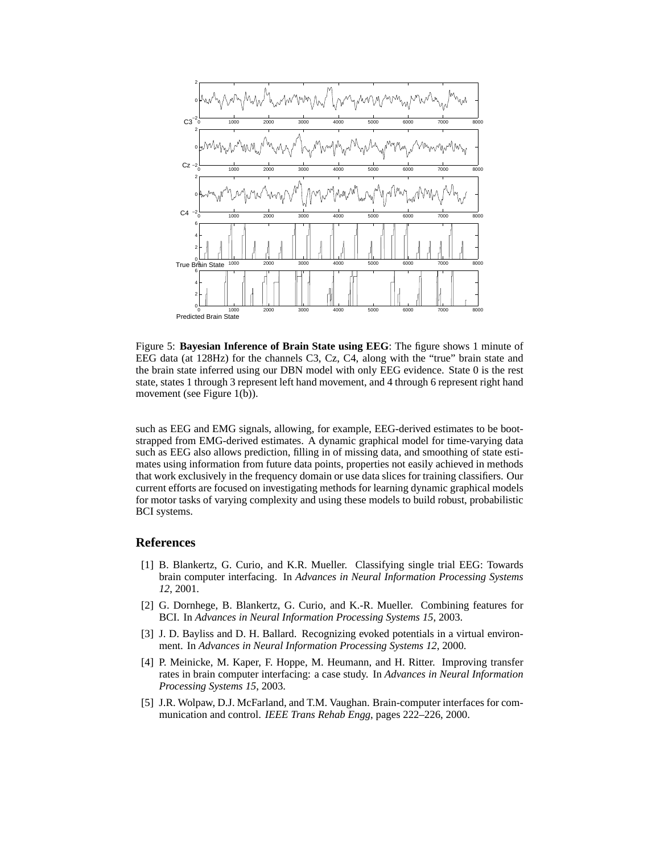

Figure 5: **Bayesian Inference of Brain State using EEG**: The figure shows 1 minute of EEG data (at 128Hz) for the channels C3, Cz, C4, along with the "true" brain state and the brain state inferred using our DBN model with only EEG evidence. State 0 is the rest state, states 1 through 3 represent left hand movement, and 4 through 6 represent right hand movement (see Figure 1(b)).

such as EEG and EMG signals, allowing, for example, EEG-derived estimates to be bootstrapped from EMG-derived estimates. A dynamic graphical model for time-varying data such as EEG also allows prediction, filling in of missing data, and smoothing of state estimates using information from future data points, properties not easily achieved in methods that work exclusively in the frequency domain or use data slices for training classifiers. Our current efforts are focused on investigating methods for learning dynamic graphical models for motor tasks of varying complexity and using these models to build robust, probabilistic BCI systems.

#### **References**

- [1] B. Blankertz, G. Curio, and K.R. Mueller. Classifying single trial EEG: Towards brain computer interfacing. In *Advances in Neural Information Processing Systems 12*, 2001.
- [2] G. Dornhege, B. Blankertz, G. Curio, and K.-R. Mueller. Combining features for BCI. In *Advances in Neural Information Processing Systems 15*, 2003.
- [3] J. D. Bayliss and D. H. Ballard. Recognizing evoked potentials in a virtual environment. In *Advances in Neural Information Processing Systems 12*, 2000.
- [4] P. Meinicke, M. Kaper, F. Hoppe, M. Heumann, and H. Ritter. Improving transfer rates in brain computer interfacing: a case study. In *Advances in Neural Information Processing Systems 15*, 2003.
- [5] J.R. Wolpaw, D.J. McFarland, and T.M. Vaughan. Brain-computer interfaces for communication and control. *IEEE Trans Rehab Engg*, pages 222–226, 2000.